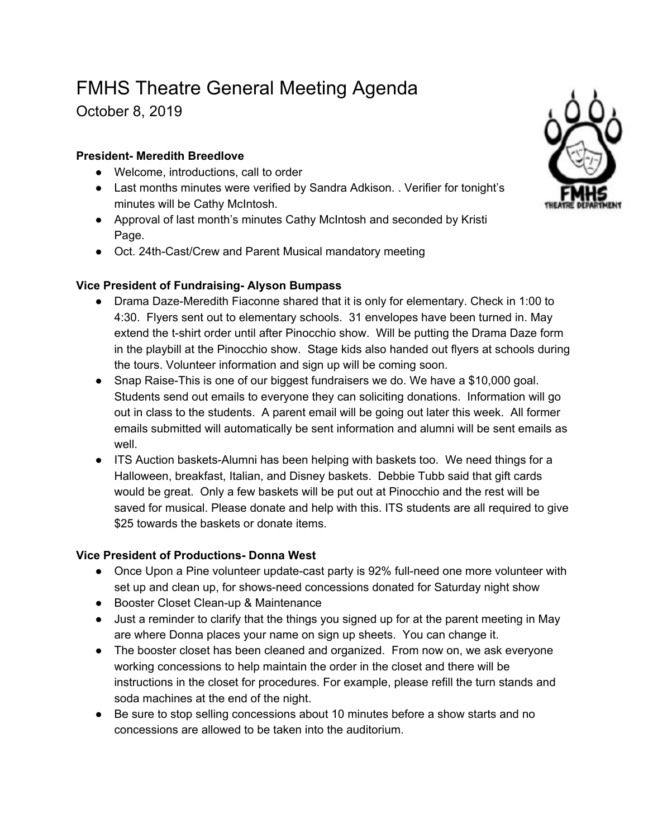# FMHS Theatre General Meeting Agenda

October 8, 2019

# **President- Meredith Breedlove**

- Welcome, introductions, call to order
- Last months minutes were verified by Sandra Adkison. . Verifier for tonight's minutes will be Cathy McIntosh.
- Approval of last month's minutes Cathy McIntosh and seconded by Kristi Page.
- Oct. 24th-Cast/Crew and Parent Musical mandatory meeting

# **Vice President of Fundraising- Alyson Bumpass**

- Drama Daze-Meredith Fiaconne shared that it is only for elementary. Check in 1:00 to 4:30. Flyers sent out to elementary schools. 31 envelopes have been turned in. May extend the t-shirt order until after Pinocchio show. Will be putting the Drama Daze form in the playbill at the Pinocchio show. Stage kids also handed out flyers at schools during the tours. Volunteer information and sign up will be coming soon.
- Snap Raise-This is one of our biggest fundraisers we do. We have a \$10,000 goal. Students send out emails to everyone they can soliciting donations. Information will go out in class to the students. A parent email will be going out later this week. All former emails submitted will automatically be sent information and alumni will be sent emails as well.
- ITS Auction baskets-Alumni has been helping with baskets too. We need things for a Halloween, breakfast, Italian, and Disney baskets. Debbie Tubb said that gift cards would be great. Only a few baskets will be put out at Pinocchio and the rest will be saved for musical. Please donate and help with this. ITS students are all required to give \$25 towards the baskets or donate items.

## **Vice President of Productions- Donna West**

- Once Upon a Pine volunteer update-cast party is 92% full-need one more volunteer with set up and clean up, for shows-need concessions donated for Saturday night show
- Booster Closet Clean-up & Maintenance
- Just a reminder to clarify that the things you signed up for at the parent meeting in May are where Donna places your name on sign up sheets. You can change it.
- The booster closet has been cleaned and organized. From now on, we ask everyone working concessions to help maintain the order in the closet and there will be instructions in the closet for procedures. For example, please refill the turn stands and soda machines at the end of the night.
- Be sure to stop selling concessions about 10 minutes before a show starts and no concessions are allowed to be taken into the auditorium.

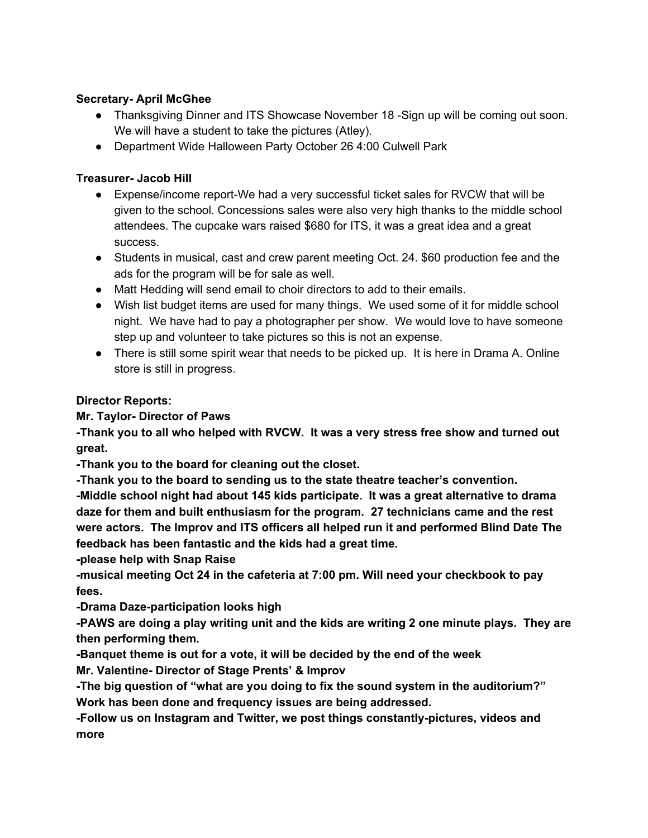#### **Secretary- April McGhee**

- Thanksgiving Dinner and ITS Showcase November 18 -Sign up will be coming out soon. We will have a student to take the pictures (Atley).
- Department Wide Halloween Party October 26 4:00 Culwell Park

#### **Treasurer- Jacob Hill**

- Expense/income report-We had a very successful ticket sales for RVCW that will be given to the school. Concessions sales were also very high thanks to the middle school attendees. The cupcake wars raised \$680 for ITS, it was a great idea and a great success.
- Students in musical, cast and crew parent meeting Oct. 24. \$60 production fee and the ads for the program will be for sale as well.
- Matt Hedding will send email to choir directors to add to their emails.
- Wish list budget items are used for many things. We used some of it for middle school night. We have had to pay a photographer per show. We would love to have someone step up and volunteer to take pictures so this is not an expense.
- There is still some spirit wear that needs to be picked up. It is here in Drama A. Online store is still in progress.

#### **Director Reports:**

## **Mr. Taylor- Director of Paws**

**-Thank you to all who helped with RVCW. It was a very stress free show and turned out great.**

**-Thank you to the board for cleaning out the closet.**

**-Thank you to the board to sending us to the state theatre teacher's convention.**

**-Middle school night had about 145 kids participate. It was a great alternative to drama daze for them and built enthusiasm for the program. 27 technicians came and the rest were actors. The Improv and ITS officers all helped run it and performed Blind Date The feedback has been fantastic and the kids had a great time.**

**-please help with Snap Raise**

**-musical meeting Oct 24 in the cafeteria at 7:00 pm. Will need your checkbook to pay fees.**

**-Drama Daze-participation looks high**

**-PAWS are doing a play writing unit and the kids are writing 2 one minute plays. They are then performing them.**

**-Banquet theme is out for a vote, it will be decided by the end of the week**

**Mr. Valentine- Director of Stage Prents' & Improv**

**-The big question of "what are you doing to fix the sound system in the auditorium?" Work has been done and frequency issues are being addressed.**

**-Follow us on Instagram and Twitter, we post things constantly-pictures, videos and more**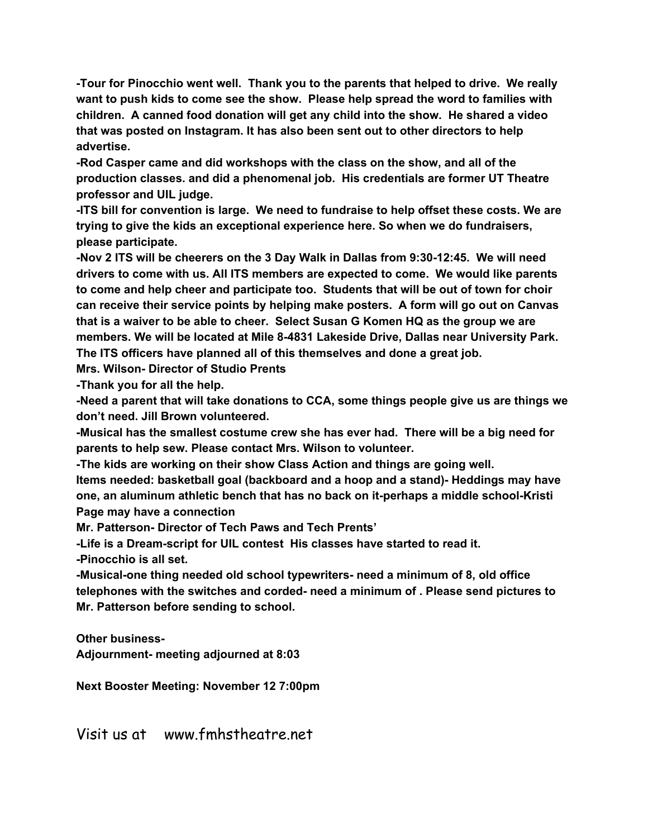**-Tour for Pinocchio went well. Thank you to the parents that helped to drive. We really want to push kids to come see the show. Please help spread the word to families with children. A canned food donation will get any child into the show. He shared a video that was posted on Instagram. It has also been sent out to other directors to help advertise.**

**-Rod Casper came and did workshops with the class on the show, and all of the production classes. and did a phenomenal job. His credentials are former UT Theatre professor and UIL judge.**

**-ITS bill for convention is large. We need to fundraise to help offset these costs. We are trying to give the kids an exceptional experience here. So when we do fundraisers, please participate.**

**-Nov 2 ITS will be cheerers on the 3 Day Walk in Dallas from 9:30-12:45. We will need drivers to come with us. All ITS members are expected to come. We would like parents to come and help cheer and participate too. Students that will be out of town for choir can receive their service points by helping make posters. A form will go out on Canvas that is a waiver to be able to cheer. Select Susan G Komen HQ as the group we are members. We will be located at Mile 8-4831 Lakeside Drive, Dallas near University Park. The ITS officers have planned all of this themselves and done a great job.**

**Mrs. Wilson- Director of Studio Prents**

**-Thank you for all the help.**

**-Need a parent that will take donations to CCA, some things people give us are things we don't need. Jill Brown volunteered.**

**-Musical has the smallest costume crew she has ever had. There will be a big need for parents to help sew. Please contact Mrs. Wilson to volunteer.**

**-The kids are working on their show Class Action and things are going well.**

**Items needed: basketball goal (backboard and a hoop and a stand)- Heddings may have one, an aluminum athletic bench that has no back on it-perhaps a middle school-Kristi Page may have a connection**

**Mr. Patterson- Director of Tech Paws and Tech Prents'**

**-Life is a Dream-script for UIL contest His classes have started to read it.**

**-Pinocchio is all set.**

**-Musical-one thing needed old school typewriters- need a minimum of 8, old office telephones with the switches and corded- need a minimum of . Please send pictures to Mr. Patterson before sending to school.**

**Other business-**

**Adjournment- meeting adjourned at 8:03**

**Next Booster Meeting: November 12 7:00pm**

Visit us at www.fmhstheatre.net